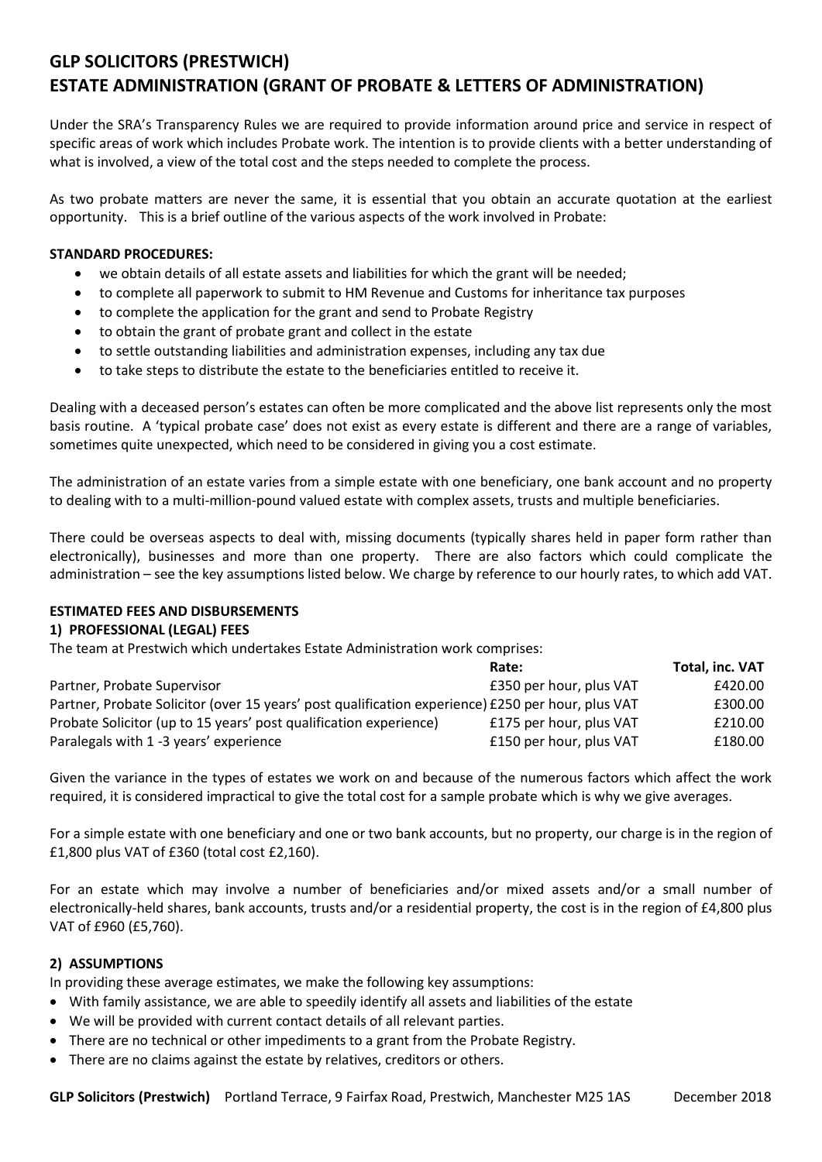# **GLP SOLICITORS (PRESTWICH) ESTATE ADMINISTRATION (GRANT OF PROBATE & LETTERS OF ADMINISTRATION)**

Under the SRA's Transparency Rules we are required to provide information around price and service in respect of specific areas of work which includes Probate work. The intention is to provide clients with a better understanding of what is involved, a view of the total cost and the steps needed to complete the process.

As two probate matters are never the same, it is essential that you obtain an accurate quotation at the earliest opportunity. This is a brief outline of the various aspects of the work involved in Probate:

#### **STANDARD PROCEDURES:**

- we obtain details of all estate assets and liabilities for which the grant will be needed;
- to complete all paperwork to submit to HM Revenue and Customs for inheritance tax purposes
- to complete the application for the grant and send to Probate Registry
- to obtain the grant of probate grant and collect in the estate
- to settle outstanding liabilities and administration expenses, including any tax due
- to take steps to distribute the estate to the beneficiaries entitled to receive it.

Dealing with a deceased person's estates can often be more complicated and the above list represents only the most basis routine. A 'typical probate case' does not exist as every estate is different and there are a range of variables, sometimes quite unexpected, which need to be considered in giving you a cost estimate.

The administration of an estate varies from a simple estate with one beneficiary, one bank account and no property to dealing with to a multi-million-pound valued estate with complex assets, trusts and multiple beneficiaries.

There could be overseas aspects to deal with, missing documents (typically shares held in paper form rather than electronically), businesses and more than one property. There are also factors which could complicate the administration – see the key assumptions listed below. We charge by reference to our hourly rates, to which add VAT.

### **ESTIMATED FEES AND DISBURSEMENTS**

#### **1) PROFESSIONAL (LEGAL) FEES**

The team at Prestwich which undertakes Estate Administration work comprises:

|                                                                                                   | Rate:                   | Total, inc. VAT |
|---------------------------------------------------------------------------------------------------|-------------------------|-----------------|
| Partner, Probate Supervisor                                                                       | £350 per hour, plus VAT | £420.00         |
| Partner, Probate Solicitor (over 15 years' post qualification experience) £250 per hour, plus VAT |                         | £300.00         |
| Probate Solicitor (up to 15 years' post qualification experience)                                 | £175 per hour, plus VAT | £210.00         |
| Paralegals with 1 -3 years' experience                                                            | £150 per hour, plus VAT | £180.00         |

Given the variance in the types of estates we work on and because of the numerous factors which affect the work required, it is considered impractical to give the total cost for a sample probate which is why we give averages.

For a simple estate with one beneficiary and one or two bank accounts, but no property, our charge is in the region of £1,800 plus VAT of £360 (total cost £2,160).

For an estate which may involve a number of beneficiaries and/or mixed assets and/or a small number of electronically-held shares, bank accounts, trusts and/or a residential property, the cost is in the region of £4,800 plus VAT of £960 (£5,760).

#### **2) ASSUMPTIONS**

In providing these average estimates, we make the following key assumptions:

- With family assistance, we are able to speedily identify all assets and liabilities of the estate
- We will be provided with current contact details of all relevant parties.
- There are no technical or other impediments to a grant from the Probate Registry.
- There are no claims against the estate by relatives, creditors or others.